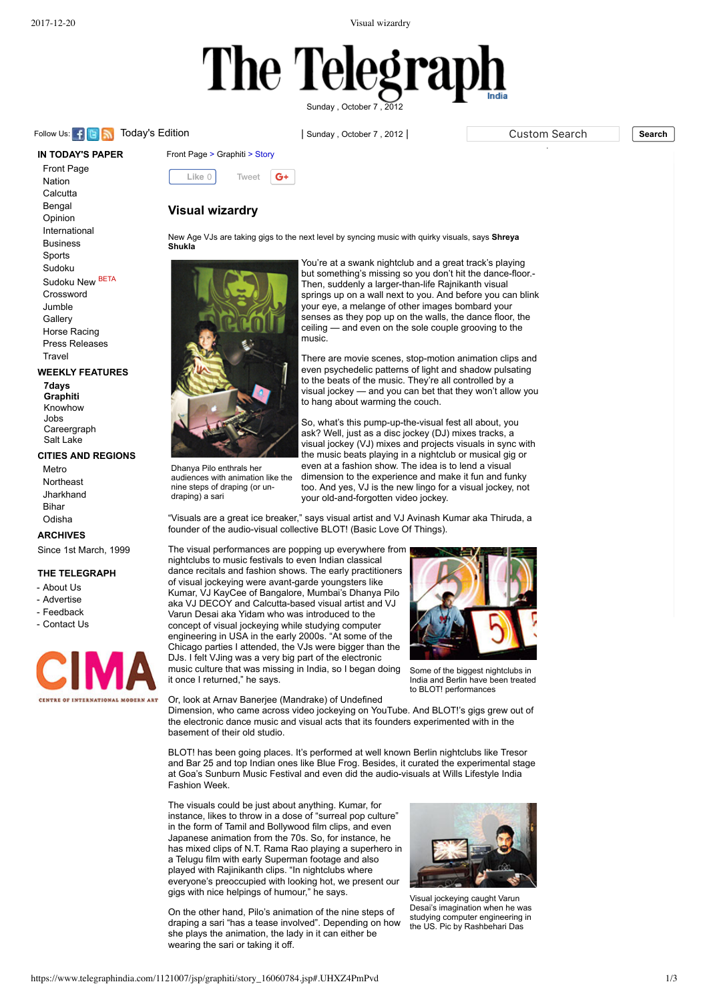2017-12-20 Visual wizardry

# The Tel

Sunday , [October](https://www.telegraphindia.com/) 7 , 2012

Follow Us: **Fig. 3.** [Today's](http://www.telegraphindia.com/) Edition **in the Search in Search in Search Search Search Search** Search **Search** Search Search Search Search Search Search Search Search Search Search Search Search Search Search Search Search

**IN TODAY'S PAPER** [Front Page](https://www.telegraphindia.com/1121007/jsp/frontpage/index.jsp) [Nation](https://www.telegraphindia.com/1121007/jsp/nation/index.jsp) **[Calcutta](https://www.telegraphindia.com/1121007/jsp/calcutta/index.jsp)** [Bengal](https://www.telegraphindia.com/1121007/jsp/bengal/index.jsp) [Opinion](https://www.telegraphindia.com/1121007/jsp/opinion/index.jsp) [International](https://www.telegraphindia.com/1121007/jsp/foreign/index.jsp) [Business](https://www.telegraphindia.com/1121007/jsp/business/index.jsp) **[Sports](https://www.telegraphindia.com/1121007/jsp/sports/index.jsp)** [Sudoku](https://www.telegraphindia.com/1121007/jsp/sudoku/sudoku.jsp) [Sudoku New](https://www.telegraphindia.com/sudoku_new/sudoku.jsp) BETA **[Crossword](https://www.telegraphindia.com/crossword)** [Jumble](https://www.telegraphindia.com/jumble) **[Gallery](https://www.telegraphindia.com/gallery)** [Horse Racing](https://www.telegraphindia.com/race) [Press Releases](https://www.telegraphindia.com/pressrelease/prnw/)

### **WEEKLY FEATURES**

**[Travel](https://www.telegraphindia.com/travel/)** 

**[7days](https://www.telegraphindia.com/1121007/jsp/7days/index.jsp) [Graphiti](https://www.telegraphindia.com/1121007/jsp/graphiti/index.jsp)** [Knowhow](https://www.telegraphindia.com/1121001/jsp/knowhow/index.jsp) [Jobs](https://www.telegraphindia.com/1121002/jsp/jobs/index.jsp) [Careergraph](https://www.telegraphindia.com/1121004/jsp/careergraph/index.jsp) [Salt Lake](https://www.telegraphindia.com/1121005/jsp/saltlake/index.jsp)

## **CITIES AND REGIONS**

[Metro](https://www.telegraphindia.com/1121007/jsp/calcutta/index.jsp) **[Northeast](https://www.telegraphindia.com/1121007/jsp/northeast/index.jsp)** [Jharkhand](https://www.telegraphindia.com/1121007/jsp/jharkhand/index.jsp) [Bihar](https://www.telegraphindia.com/1121007/jsp/bihar/index.jsp) [Odisha](https://www.telegraphindia.com/1121007/jsp/odisha/index.jsp)

### **[ARCHIVES](https://www.telegraphindia.com/archives/archive.html)**

[Since 1st March, 1999](https://www.telegraphindia.com/archives/archive.html)

### **THE TELEGRAPH**

- [About Us](https://www.telegraphindia.com/section/others/aboutus.jsp)
- [Advertise](https://www.telegraphindia.com/section/others/advertise.jsp)
- [Feedback](https://www.telegraphindia.com/section/others/feedback.jsp)
- [Contact Us](https://www.telegraphindia.com/section/others/contactus.jsp)





# **Visual wizardry**

New Age VJs are taking gigs to the next level by syncing music with quirky visuals, says **Shreya Shukla**



Dhanya Pilo enthrals her audiences with animation like the nine steps of draping (or undraping) a sari

You're at a swank nightclub and a great track's playing but something's missing so you don't hit the dance-floor.-Then, suddenly a larger-than-life Rajnikanth visual springs up on a wall next to you. And before you can blink your eye, a melange of other images bombard your senses as they pop up on the walls, the dance floor, the ceiling — and even on the sole couple grooving to the music.

There are movie scenes, stop-motion animation clips and even psychedelic patterns of light and shadow pulsating to the beats of the music. They're all controlled by a visual jockey — and you can bet that they won't allow you to hang about warming the couch.

So, what's this pump-up-the-visual fest all about, you ask? Well, just as a disc jockey (DJ) mixes tracks, a visual jockey (VJ) mixes and projects visuals in sync with the music beats playing in a nightclub or musical gig or even at a fashion show. The idea is to lend a visual dimension to the experience and make it fun and funky too. And yes, VJ is the new lingo for a visual jockey, not your old-and-forgotten video jockey.

"Visuals are a great ice breaker," says visual artist and VJ Avinash Kumar aka Thiruda, a founder of the audio-visual collective BLOT! (Basic Love Of Things).

The visual performances are popping up everywhere from nightclubs to music festivals to even Indian classical dance recitals and fashion shows. The early practitioners of visual jockeying were avant-garde youngsters like Kumar, VJ KayCee of Bangalore, Mumbai's Dhanya Pilo aka VJ DECOY and Calcutta-based visual artist and VJ Varun Desai aka Yidam who was introduced to the concept of visual jockeying while studying computer engineering in USA in the early 2000s. "At some of the Chicago parties I attended, the VJs were bigger than the DJs. I felt VJing was a very big part of the electronic music culture that was missing in India, so I began doing it once I returned," he says.



Some of the biggest nightclubs in India and Berlin have been treated to BLOT! performances

Or, look at Arnav Banerjee (Mandrake) of Undefined Dimension, who came across video jockeying on YouTube. And BLOT!'s gigs grew out of the electronic dance music and visual acts that its founders experimented with in the basement of their old studio.

BLOT! has been going places. It's performed at well known Berlin nightclubs like Tresor and Bar 25 and top Indian ones like Blue Frog. Besides, it curated the experimental stage at Goa's Sunburn Music Festival and even did the audio-visuals at Wills Lifestyle India Fashion Week.

The visuals could be just about anything. Kumar, for instance, likes to throw in a dose of "surreal pop culture" in the form of Tamil and Bollywood film clips, and even Japanese animation from the 70s. So, for instance, he has mixed clips of N.T. Rama Rao playing a superhero in a Telugu film with early Superman footage and also played with Rajinikanth clips. "In nightclubs where everyone's preoccupied with looking hot, we present our gigs with nice helpings of humour," he says.

On the other hand, Pilo's animation of the nine steps of draping a sari "has a tease involved". Depending on how she plays the animation, the lady in it can either be wearing the sari or taking it off.



Visual jockeying caught Varun Desai's imagination when he was studying computer engineering in the US. Pic by Rashbehari Das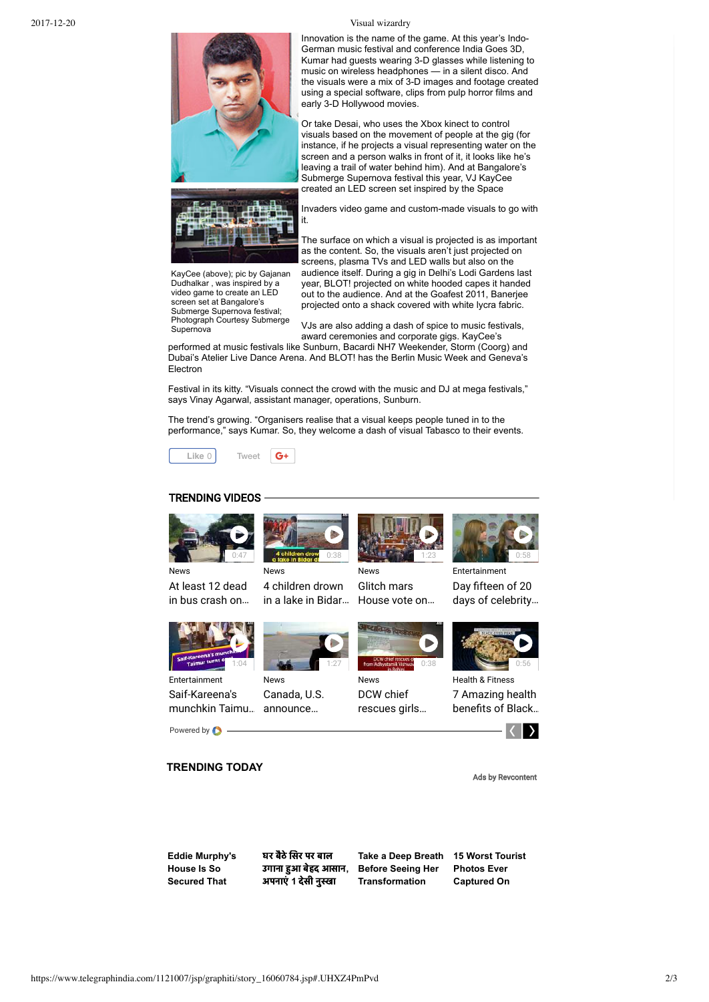

Innovation is the name of the game. At this year's Indo-German music festival and conference India Goes 3D, Kumar had quests wearing 3-D glasses while listening to music on wireless headphones — in a silent disco. And the visuals were a mix of 3-D images and footage created using a special software, clips from pulp horror films and early 3-D Hollywood movies.

Or take Desai, who uses the Xbox kinect to control visuals based on the movement of people at the gig (for instance, if he projects a visual representing water on the screen and a person walks in front of it, it looks like he's leaving a trail of water behind him). And at Bangalore's Submerge Supernova festival this year, VJ KayCee created an LED screen set inspired by the Space

Invaders video game and custom-made visuals to go with it.

KayCee (above); pic by Gajanan Dudhalkar , was inspired by a video game to create an LED screen set at Bangalore's Submerge Supernova festival; Photograph Courtesy Submerge **Supernova** 

The surface on which a visual is projected is as important as the content. So, the visuals aren't just projected on screens, plasma TVs and LED walls but also on the audience itself. During a gig in Delhi's Lodi Gardens last year, BLOT! projected on white hooded capes it handed out to the audience. And at the Goafest 2011, Banerjee projected onto a shack covered with white lycra fabric.

VJs are also adding a dash of spice to music festivals, award ceremonies and corporate gigs. KayCee's

performed at music festivals like Sunburn, Bacardi NH7 Weekender, Storm (Coorg) and Dubai's Atelier Live Dance Arena. And BLOT! has the Berlin Music Week and Geneva's Electron

Festival in its kitty. "Visuals connect the crowd with the music and DJ at mega festivals," says Vinay Agarwal, assistant manager, operations, Sunburn.

The trend's growing. "Organisers realise that a visual keeps people tuned in to the performance," says Kumar. So, they welcome a dash of visual Tabasco to their events.



### TRENDING VIDEOS



[in a lake in Bidar…](https://www.telegraphindia.com/videos?vtnid=MCsxMDU1MTk1fHwyNjE0fHwxMjU5fHx8fDV8fA==&pfrm=widget)





1:23

News DCW chief [rescues girls…](https://www.telegraphindia.com/videos?vtnid=MCsxMDU1MTkwfHwyNjE0fHwxMjU5fHx8fDV8fA==&pfrm=widget)



Entertainment Day fifteen of 20 [days of celebrity…](https://www.telegraphindia.com/videos?vtnid=MCsxMDU1MTkzfHwyNjE0fHwxMjU5fHx8fDV8fA==&pfrm=widget)

Health & Fitness 7 Amazing health benefits of Black...



Ads by Revcontent

0:58

**TRENDING TODAY**

**[Eddie Murphy's](https://trends.revcontent.com/click.php?d=1phY7Lfm%2FPJ23%2BfSnWh6TPlVsee%2Fa%2BRJAhw1arhZVzMyDjp6bNCIyE9Ln6eDhGzeCwmWmmhegG4mVW8dhi3PDl6QjoJ5T0mnPrH0tCLhf9N2K6iBb%2FJJ%2FvS04TSEqFmvii7z8FaViGTjxi8B%2F8VC2a0i3uqLHl7ho%2FGOVEBUkoKHq6WIjMmPnpzY27we2lJzGbD21QxTinvWg73p61jQAho3LONmo6CZeK02gr%2B2iv7ZXpdf8UGuLvumVUXEbp4tYdWMeqSvEjoVPwBVP9oD74CLlVEAAQ7kwss9RnOE3FBSNPsPsmPMhDyZVEuP%2B3jL%2FTnOlbD6A2xIqJeuZgxAntB8gwxQgCLaRRaB4lPPyEgmo366KgK7DKhj6CG9F0c3Wq4LcODqsqSIagw%2BTau4FJ%2B1vUg%2Fy6q9aGAOm4k0lH2NGWxu1xYHJrk1iVLFfmFCB8iNRDCu7voNin00k%2F2By0azV1Iu4edZytTU284Q6V8oFb194GacH2A6gHUxG9J%2Bv40zzckkWic3D5xo9D%2B4orRNCpP54WiRbKCoKzNsUNh3DjvGZoOIVwkl2wyh25pD7%2BcpnooVhp9GxMNLslqUuFvFmeqkZf8r81j0IcKmXCMSm%2B0mE%2FwghrOpSJg2%2FZEZaEEMzvYmZI8%2BnXPQyAzLpnBhN67E1Yqlj6KLaBFC4r%2FvDJSgJkttvStJgkW3ypd6PH7oQdWflvyiguwdz53zocvN%2FW%2FF50WJ9aEpfHhPywKeRGlE5blBVQ%2FJg10ZLlKXASPTkMqbldXd8LrDry60jBjuqYa4GMlGMyq3o%2FyLGIOYZQRkKx8NAtWAgEOLlZQiY9dQsHOQ8c%2FsfJIVMc5KMAGoFmm9wzsw8rtBaOQljdE%3D) House Is So Secured That**

घर बैठे सिर पर बाल उगाना आ बेहद आसान**,** अपनाएं 1 देसी नुस्खा

**[Take a Deep Breath](https://trends.revcontent.com/click.php?d=lcUgMAnJQwisARk0HpPZZ5mMUkjXgw1FLks2DwgjzD5hFOOySjpxyVeo2YjVwGR2vHrAuP2B5SZpVzwBnS7seDdC4a8uogH2d%2FlaFcS77MNNR0FJ%2F7wQ%2Fu2BtfJifbDTIO7IvumOPQq2Mduc54WJrTXJl45JOPM4PS4Q9Kvc0KFMz5CgHALUtlCRSBdh8yVGeUlcNDAWRsZxrgz5G8HuKRwxbMfhqk11VeDl8CwvP%2FfcHZPoF8nglckTllMKP5WGSysK6Y%2BtipUgBIA7KF1Kfjadg9noXWBGfWFqDxrsUqfGdV15i%2B2%2BNp8HRh7AIPG8eZ78by0ulaOrqxg9HYtley%2FJVSBDTqZr0PeOMn1HbWMOtddntCCeACKgCBzyNC0vQ1qCSlCkyBagIZRWjlQ7hY8NLOmFpriJwbk8DwP0BcI13tWxz7PO5xsQxaGUTsu6nIUqsQFB7%2BxNInb1VqOLmdQFYCLDqTYAe1jok0U7vaQsMXr121a1D%2FwsxrZGsnu8PiyzQ35Sml7ldN1hOTQkMjafL%2FE7d5%2Fm%2ByUMIVuVUq79%2FDKk6voo%2Bkbdu0u5pwKaHqKpqmDxF%2FaaqRNRJvUWiTcP9lP1kg8aUsIjKIjAG3vWlidN3wv%2FobZxoiuvu5Lu6FqUYQXZERuwJygELGQJwPKy7UWq0TOCj0SnFYkBOkdtgPUjRsSLAxg%2BrY4Rgvkb) [15 Worst Tourist](https://trends.revcontent.com/click.php?d=%2BlTGVr72172D%2FBUY%2FD2ZDeTbIo3f5i897xc6cFzERV62w%2FzuqmQlydrTTLOEX%2FBSR7PHuHV8uYpXimLkqB%2FfQRMgAbHKfuliFcwDa7JPZ57kN3ljpU7DgMsRX5A9y4LLbGJxTKiLlWGydxSYfN8MvSwAqNUP8cNH3pTItw9V5a3gWPlMsxYkx0pbaToRl6fuwvZc0eOHDsmc1mHSFrnf7Cc5YEtWbgkwwHNsSf7C%2Blvhky305SBh1LAVWWWEXYaJkutQRNQDvaFleQcSfzTr0WNTD951fLenMQrK2cpsqnr6dVWMDJGTgCAOpRNVjjzOjtmUNS2%2BoogZMSBfN8xXSW3VdiLyKOidlHxP3ZlRHhgKIc%2BjI1C6g6DGV0lq9IwSguOIkJnZOvOWU2115xNhNgzsuABl9YHNTrSrVEJE43P2Qnz2o6Pq4cxrCoFwLOm6sQKNxWIFvSM5GG7CknWtMfUHWdLA7%2BoEEjJoGtLIjEraP5ueNeeOq5egyf8fCqsG0Y47pHDnosu0QDElz2RGYUbsMJvJtnIQLqfQtFQO%2FpuqGihVkJWREMJqLN1OqgaGgfprAWyBqY0sdYWp83iLQRLBiihZ8JybRm4GIG1Oje7wEPfJq6iHajO%2BaFfCzYPvntbyKsjjSRGCRgk%2BxQyKQTCjkGITRCK0kfBIYSmSgSRVdFQTVSFWRXRVP%2BT3gf1y) Before Seeing Her Transformation**

**Photos Ever Captured On**





1:27





Powered by  $\bullet$  -

News

[Canada, U.S.](https://www.telegraphindia.com/videos?vtnid=MCsxMDU1MTkyfHwyNjE0fHwxMjU5fHx8fDV8fA==&pfrm=widget)